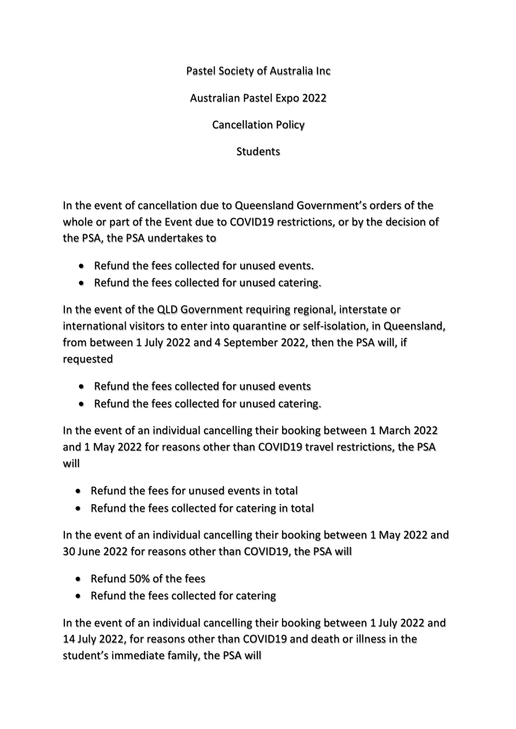Pastel Society of Australia Inc

Australian Pastel Expo 2022

Cancellation Policy

**Students** 

In the event of cancellation due to Queensland Government's orders of the whole or part of the Event due to COVID19 restrictions, or by the decision of the PSA, the PSA undertakes to

- Refund the fees collected for unused events.
- Refund the fees collected for unused catering.

In the event of the QLD Government requiring regional, interstate or international visitors to enter into quarantine or self-isolation, in Queensland, from between 1 July 2022 and 4 September 2022, then the PSA will, if requested

- Refund the fees collected for unused events
- Refund the fees collected for unused catering.

In the event of an individual cancelling their booking between 1 March 2022 and 1 May 2022 for reasons other than COVID19 travel restrictions, the PSA will

- Refund the fees for unused events in total
- Refund the fees collected for catering in total

In the event of an individual cancelling their booking between 1 May 2022 and 30 June 2022 for reasons other than COVID19, the PSA will

- Refund 50% of the fees
- Refund the fees collected for catering

In the event of an individual cancelling their booking between 1 July 2022 and 14 July 2022, for reasons other than COVID19 and death or illness in the student's immediate family, the PSA will